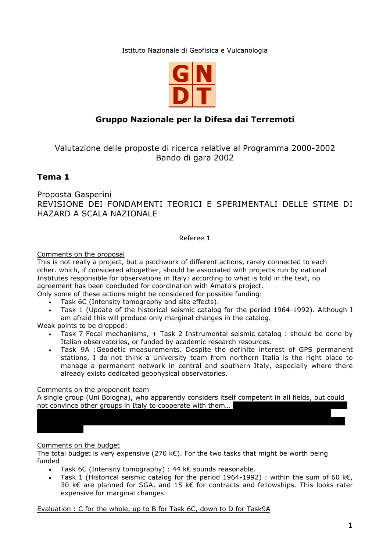Istituto Nazionale di Geofisica e Vulcanologia



# **Gruppo Nazionale per la Difesa dai Terremoti**

Valutazione delle proposte di ricerca relative al Programma 2000-2002 Bando di gara 2002

## **Tema 1**

Proposta Gasperini REVISIONE DEI FONDAMENTI TEORICI E SPERIMENTALI DELLE STIME DI HAZARD A SCALA NAZIONALE

Referee 1

## Comments on the proposal

This is not really a project, but a patchwork of different actions, rarely connected to each other. which, if considered altogether, should be associated with projects run by national Institutes responsible for observations in Italy: according to what is told in the text, no agreement has been concluded for coordination with Amato's project.

Only some of these actions might be considered for possible funding:

- Task 6C (Intensity tomography and site effects).
- Task 1 (Update of the historical seismic catalog for the period 1964-1992). Although I am afraid this will produce only marginal changes in the catalog.

Weak points to be dropped:

- Task 7 Focal mechanisms, + Task 2 Instrumental seismic catalog : should be done by Italian observatories, or funded by academic research resources.
- Task 9A :Geodetic measurements. Despite the definite interest of GPS permanent stations, I do not think a University team from northern Italia is the right place to manage a permanent network in central and southern Italy, especially where there already exists dedicated geophysical observatories.

#### Comments on the proponent team

A single group (Uni Bologna), who apparently considers itself competent in all fields, but could not convince other groups in Italy to cooperate with them...

## Comments on the budget

The total budget is very expensive (270 k $\epsilon$ ). For the two tasks that might be worth being funded

- Task 6C (Intensity tomography) : 44 k $\epsilon$  sounds reasonable.
- Task 1 (Historical seismic catalog for the period 1964-1992) : within the sum of 60 k€, 30 k€ are planned for SGA, and 15 k€ for contracts and fellowships. This looks rater expensive for marginal changes.

Evaluation : C for the whole, up to B for Task 6C, down to D for Task9A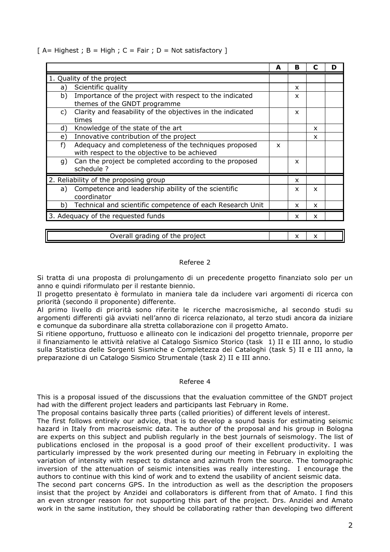|  |  |  |  | $[A = Higher; B = High; C = Fair; D = Not satisfactory]$ |  |
|--|--|--|--|----------------------------------------------------------|--|
|  |  |  |  |                                                          |  |

|                                            |                                                                                                      | A | в |                           |  |
|--------------------------------------------|------------------------------------------------------------------------------------------------------|---|---|---------------------------|--|
|                                            | 1. Quality of the project                                                                            |   |   |                           |  |
| a)                                         | Scientific quality                                                                                   |   | x |                           |  |
| b)                                         | Importance of the project with respect to the indicated<br>themes of the GNDT programme              |   | x |                           |  |
| C)                                         | Clarity and feasability of the objectives in the indicated<br>times                                  |   | x |                           |  |
| d)                                         | Knowledge of the state of the art                                                                    |   |   | x                         |  |
| e)                                         | Innovative contribution of the project                                                               |   |   | x                         |  |
| f)                                         | Adequacy and completeness of the techniques proposed<br>with respect to the objective to be achieved | x |   |                           |  |
| q)                                         | Can the project be completed according to the proposed<br>schedule ?                                 |   | x |                           |  |
| 2. Reliability of the proposing group<br>x |                                                                                                      |   |   |                           |  |
| a)                                         | Competence and leadership ability of the scientific<br>coordinator                                   |   | x | $\boldsymbol{\mathsf{x}}$ |  |
| b)                                         | Technical and scientific competence of each Research Unit                                            |   | x | $\boldsymbol{\mathsf{x}}$ |  |
|                                            | 3. Adequacy of the requested funds                                                                   |   | x | $\boldsymbol{\mathsf{x}}$ |  |
|                                            |                                                                                                      |   |   |                           |  |

| .<br>--<br>---<br>.<br>.11P<br>Ш<br>$\sim$<br>۱⊬،<br>ан<br>iu<br>u<br>$\sim$<br><br>. | . . |  |
|---------------------------------------------------------------------------------------|-----|--|
|                                                                                       |     |  |

#### Referee 2

Si tratta di una proposta di prolungamento di un precedente progetto finanziato solo per un anno e quindi riformulato per il restante biennio.

Il progetto presentato è formulato in maniera tale da includere vari argomenti di ricerca con priorità (secondo il proponente) differente.

Al primo livello di priorità sono riferite le ricerche macrosismiche, al secondo studi su argomenti differenti già avviati nell'anno di ricerca relazionato, al terzo studi ancora da iniziare e comunque da subordinare alla stretta collaborazione con il progetto Amato.

Si ritiene opportuno, fruttuoso e allineato con le indicazioni del progetto triennale, proporre per il finanziamento le attività relative al Catalogo Sismico Storico (task 1) II e III anno, lo studio sulla Statistica delle Sorgenti Sismiche e Completezza dei Cataloghi (task 5) II e III anno, la preparazione di un Catalogo Sismico Strumentale (task 2) II e III anno.

#### Referee 4

This is a proposal issued of the discussions that the evaluation committee of the GNDT project had with the different project leaders and participants last February in Rome.

The proposal contains basically three parts (called priorities) of different levels of interest.

The first follows entirely our advice, that is to develop a sound basis for estimating seismic hazard in Italy from macroseismic data. The author of the proposal and his group in Bologna are experts on this subject and publish regularly in the best journals of seismology. The list of publications enclosed in the proposal is a good proof of their excellent productivity. I was particularly impressed by the work presented during our meeting in February in exploiting the variation of intensity with respect to distance and azimuth from the source. The tomographic inversion of the attenuation of seismic intensities was really interesting. I encourage the authors to continue with this kind of work and to extend the usability of ancient seismic data.

The second part concerns GPS. In the introduction as well as the description the proposers insist that the project by Anzidei and collaborators is different from that of Amato. I find this an even stronger reason for not supporting this part of the project. Drs. Anzidei and Amato work in the same institution, they should be collaborating rather than developing two different